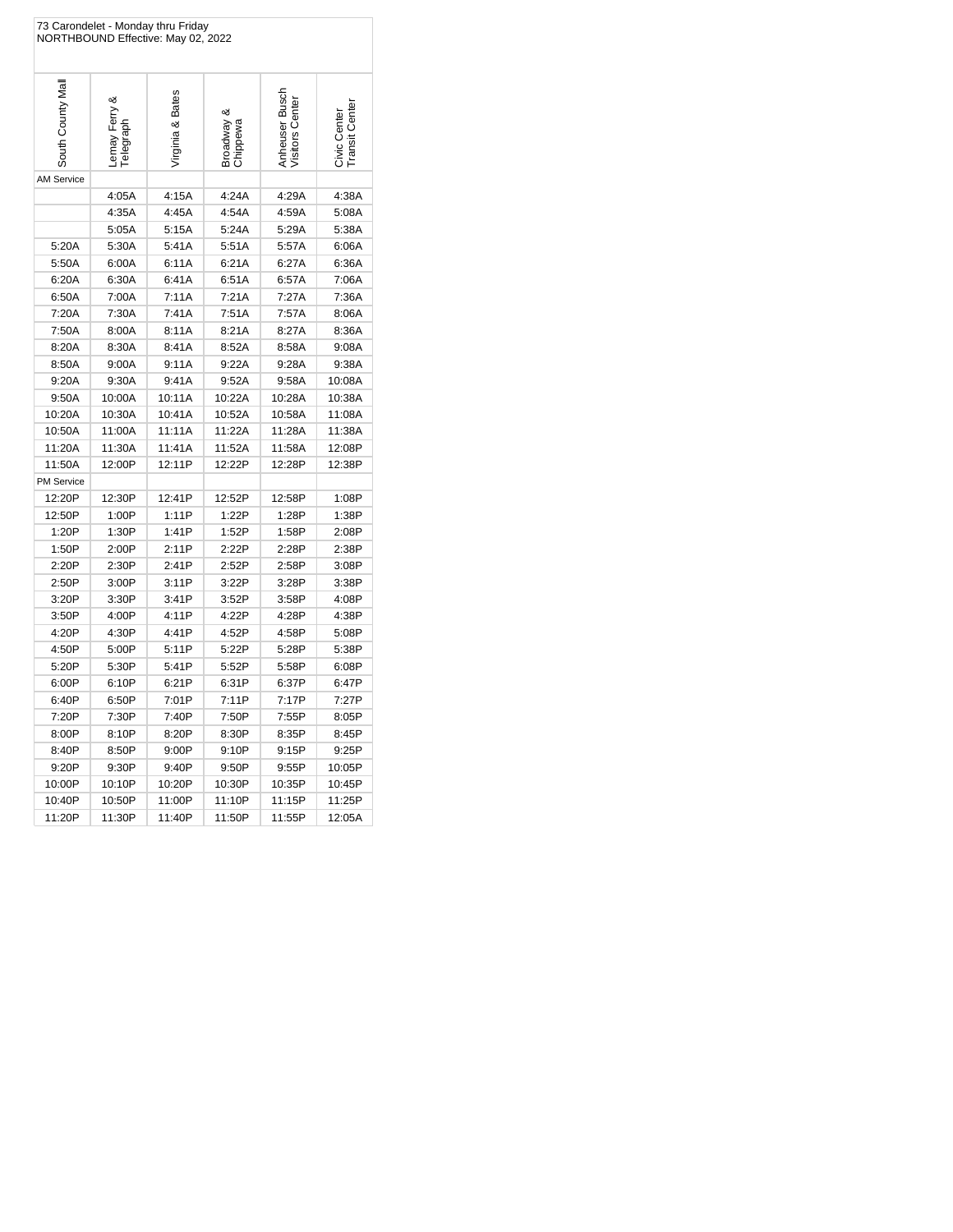|                   | 73 Carondelet - Monday thru Friday<br>NORTHBOUND Effective: May 02, 2022 |                  |                        |                                   |                                |
|-------------------|--------------------------------------------------------------------------|------------------|------------------------|-----------------------------------|--------------------------------|
| South County Mal  | Lemay Ferry &<br>degraph <sup>-</sup>                                    | Virginia & Bates | Broadway &<br>Chippewa | Anheuser Busch<br>Visitors Center | Civic Center<br>Transit Center |
| <b>AM Service</b> |                                                                          |                  |                        |                                   |                                |
|                   | 4:05A                                                                    | 4:15A            | 4:24A                  | 4:29A                             | 4:38A                          |
|                   | 4:35A                                                                    | 4:45A            | 4:54A                  | 4:59A                             | 5:08A                          |
|                   | 5:05A                                                                    | 5:15A            | 5:24A                  | 5:29A                             | 5:38A                          |
| 5:20A             | 5:30A                                                                    | 5:41A            | 5:51A                  | 5:57A                             | 6:06A                          |
| 5:50A             | 6:00A                                                                    | 6:11A            | 6:21A                  | 6:27A                             | 6:36A                          |
| 6:20A             | 6:30A                                                                    | 6:41A            | 6:51A                  | 6:57A                             | 7:06A                          |
| 6:50A             | 7:00A                                                                    | 7:11A            | 7:21A                  | 7:27A                             | 7:36A                          |
| 7:20A             | 7:30A                                                                    | 7:41A            | 7:51A                  | 7:57A                             | 8:06A                          |
| 7:50A             | 8:00A                                                                    | 8:11A            | 8:21A                  | 8:27A                             | 8:36A                          |
| 8:20A             | 8:30A                                                                    | 8:41A            | 8:52A                  | 8:58A                             | 9:08A                          |
| 8:50A             | 9:00A                                                                    | 9:11A            | 9:22A                  | 9:28A                             | 9:38A                          |
| 9:20A             | 9:30A                                                                    | 9:41A            | 9:52A                  | 9:58A                             | 10:08A                         |
| 9:50A             | 10:00A                                                                   | 10:11A           | 10:22A                 | 10:28A                            | 10:38A                         |
| 10:20A            | 10:30A                                                                   | 10:41A           | 10:52A                 | 10:58A                            | 11:08A                         |
| 10:50A            | 11:00A                                                                   | 11:11A           | 11:22A                 | 11:28A                            | 11:38A                         |
| 11:20A            | 11:30A                                                                   | 11:41A           | 11:52A                 | 11:58A                            | 12:08P                         |
| 11:50A            | 12:00P                                                                   | 12:11P           | 12:22P                 | 12:28P                            | 12:38P                         |
| PM Service        |                                                                          |                  |                        |                                   |                                |
| 12:20P            | 12:30P                                                                   | 12:41P           | 12:52P                 | 12:58P                            | 1:08P                          |
| 12:50P            | 1:00P                                                                    | 1:11P            | 1:22P                  | 1:28P                             | 1:38P                          |
| 1:20P             | 1:30P                                                                    | 1:41P            | 1:52P                  | 1:58P                             | 2:08P                          |
| 1:50P             | 2:00P                                                                    | 2:11P            | 2:22P                  | 2:28P                             | 2:38P                          |
| 2:20P             | 2:30P                                                                    | 2:41P            | 2:52P                  | 2:58P                             | 3:08P                          |
| 2:50P             | 3:00P                                                                    | 3:11P            | 3:22P                  | 3:28P                             | 3:38P                          |
| 3:20P             | 3:30P                                                                    | 3:41P            | 3:52P                  | 3:58P                             | 4:08P                          |
| 3:50P             | 4:00P                                                                    | 4:11P            | 4:22P                  | 4:28P                             | 4:38P                          |
| 4:20P             | 4:30P                                                                    | 4:41P            | 4:52P                  | 4:58P                             | 5:08P                          |
| 4:50P             | 5:00P                                                                    | 5:11P            | 5:22P                  | 5:28P                             | 5:38P                          |
| 5:20P             | 5:30P                                                                    | 5:41P            | 5:52P                  | 5:58P                             | 6:08P                          |
| 6:00P             | 6:10P                                                                    | 6:21P            | 6:31P                  | 6:37P                             | 6:47P                          |
| 6:40P             | 6:50P                                                                    | 7:01P            | 7:11P                  | 7:17P                             | 7:27P                          |
| 7:20P             | 7:30P                                                                    | 7:40P            | 7:50P                  | 7:55P                             | 8:05P                          |
| 8:00P             | 8:10P                                                                    | 8:20P            | 8:30P                  | 8:35P                             | 8:45P                          |
| 8:40P             | 8:50P                                                                    | 9:00P            | 9:10P                  | 9:15P                             | 9:25P                          |
| 9:20P             | 9:30P                                                                    | 9:40P            | 9:50P                  | 9:55P                             | 10:05P                         |
| 10:00P            | 10:10P                                                                   | 10:20P           | 10:30P                 | 10:35P                            | 10:45P                         |
| 10:40P            | 10:50P                                                                   | 11:00P           | 11:10P                 | 11:15P                            | 11:25P                         |
| 11:20P            | 11:30P                                                                   | 11:40P           | 11:50P                 | 11:55P                            | 12:05A                         |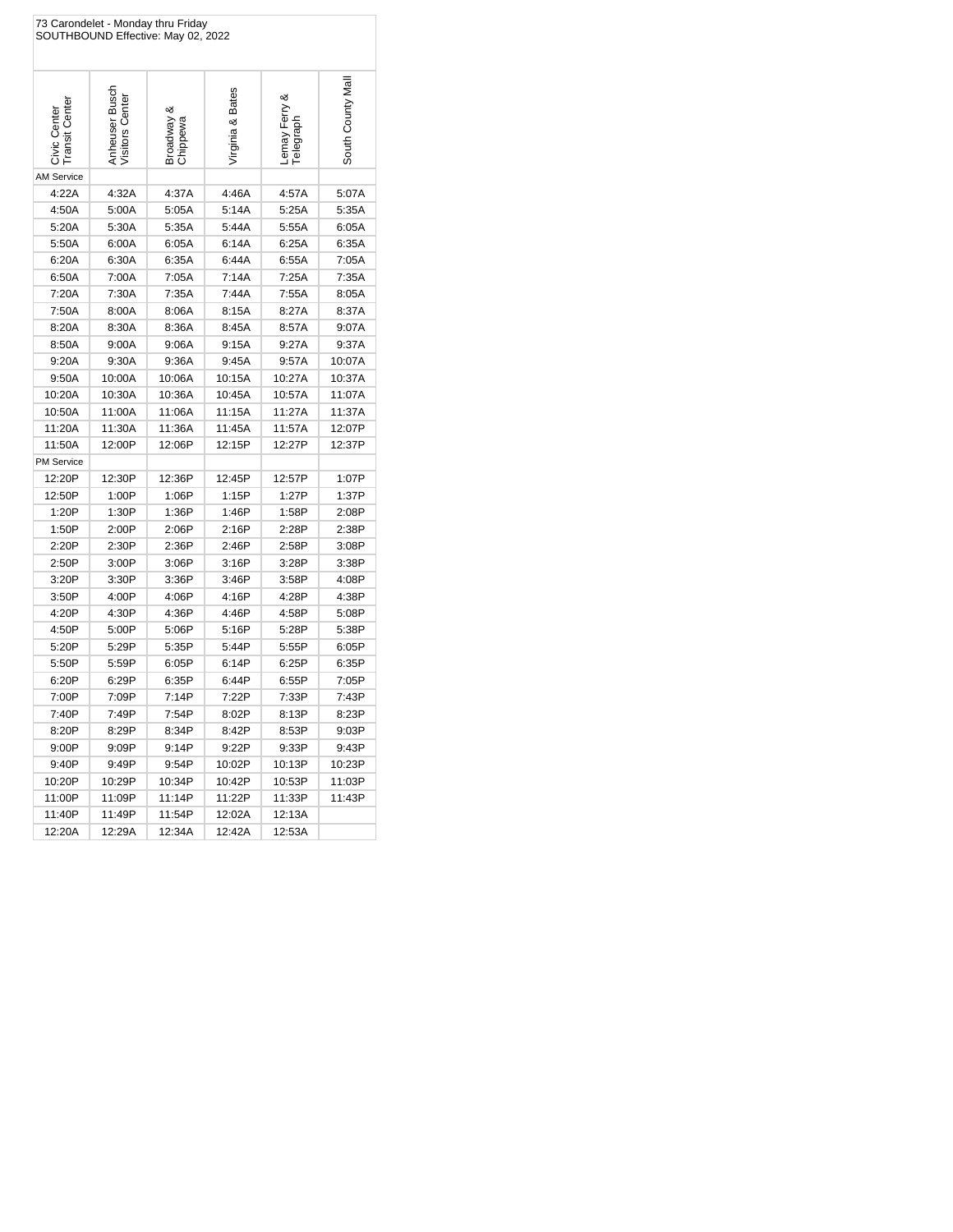|                                | 73 Carondelet - Monday thru Friday<br>SOUTHBOUND Effective: May 02, 2022 |                      |                  |                                 |                  |
|--------------------------------|--------------------------------------------------------------------------|----------------------|------------------|---------------------------------|------------------|
| Civic Center<br>Transit Center | Anheuser Busch<br>Visitors Center                                        | Broadway<br>Chippewa | Virginia & Bates | య<br>Lemay Ferry &<br>Telegraph | South County Mal |
| <b>AM Service</b>              |                                                                          |                      |                  |                                 |                  |
| 4:22A                          | 4:32A                                                                    | 4:37A                | 4:46A            | 4:57A                           | 5:07A            |
| 4:50A                          | 5:00A                                                                    | 5:05A                | 5:14A            | 5:25A                           | 5:35A            |
| 5:20A                          | 5:30A                                                                    | 5:35A                | 5:44A            | 5:55A                           | 6:05A            |
| 5:50A                          | 6:00A                                                                    | 6:05A                | 6:14A            | 6:25A                           | 6:35A            |
| 6:20A                          | 6:30A                                                                    | 6:35A                | 6:44A            | 6:55A                           | 7:05A            |
| 6:50A                          | 7:00A                                                                    | 7:05A                | 7:14A            | 7:25A                           | 7:35A            |
| 7:20A                          | 7:30A                                                                    | 7:35A                | 7:44A            | 7:55A                           | 8:05A            |
| 7:50A                          | 8:00A                                                                    | 8:06A                | 8:15A            | 8:27A                           | 8:37A            |
| 8:20A                          | 8:30A                                                                    | 8:36A                | 8:45A            | 8:57A                           | 9:07A            |
| 8:50A                          | 9:00A                                                                    | 9:06A                | 9:15A            | 9:27A                           | 9:37A            |
| 9:20A                          | 9:30A                                                                    | 9:36A                | 9:45A            | 9:57A                           | 10:07A           |
| 9:50A                          | 10:00A                                                                   | 10:06A               | 10:15A           | 10:27A                          | 10:37A           |
| 10:20A                         | 10:30A                                                                   | 10:36A               | 10:45A           | 10:57A                          | 11:07A           |
| 10:50A                         | 11:00A                                                                   | 11:06A               | 11:15A           | 11:27A                          | 11:37A           |
| 11:20A                         | 11:30A                                                                   | 11:36A               | 11:45A           | 11:57A                          | 12:07P           |
| 11:50A                         | 12:00P                                                                   | 12:06P               | 12:15P           | 12:27P                          | 12:37P           |
| <b>PM Service</b>              |                                                                          |                      |                  |                                 |                  |
| 12:20P                         | 12:30P                                                                   | 12:36P               | 12:45P           | 12:57P                          | 1:07P            |
| 12:50P                         | 1:00P                                                                    | 1:06P                | 1:15P            | 1:27P                           | 1:37P            |
| 1:20P                          | 1:30P                                                                    | 1:36P                | 1:46P            | 1:58P                           | 2:08P            |
| 1:50P                          | 2:00P                                                                    | 2:06P                | 2:16P            | 2:28P                           | 2:38P            |
| 2:20P                          | 2:30P                                                                    | 2:36P                | 2:46P            | 2:58P                           | 3:08P            |
| 2:50P                          | 3:00P                                                                    | 3:06P                | 3:16P            | 3:28P                           | 3:38P            |
| 3:20P                          | 3:30P                                                                    | 3:36P                | 3:46P            | 3:58P                           | 4:08P            |
| 3:50P                          | 4:00P                                                                    | 4:06P                | 4:16P            | 4:28P                           | 4:38P            |
| 4:20P                          | 4:30P                                                                    | 4:36P                | 4:46P            | 4:58P                           | 5:08P            |
| 4:50P                          | 5:00P                                                                    | 5:06P                | 5:16P            | 5:28P                           | 5:38P            |
| 5:20P                          | 5:29P                                                                    | 5:35P                | 5:44P            | 5:55P                           | 6:05P            |
| 5:50P                          | 5:59P                                                                    | 6:05P                | 6:14P            | 6:25P                           | 6:35P            |
| 6:20P                          | 6:29P                                                                    | 6:35P                | 6:44P            | 6:55P                           | 7:05P            |
| 7:00P                          | 7:09P                                                                    | 7:14P                | 7:22P            | 7:33P                           | 7:43P            |
| 7:40P                          | 7:49P                                                                    | 7:54P                | 8:02P            | 8:13P                           | 8:23P            |
| 8:20P                          | 8:29P                                                                    | 8:34P                | 8:42P            | 8:53P                           | 9:03P            |
| 9:00P                          | 9:09P                                                                    | 9:14P                | 9:22P            | 9:33P                           | 9:43P            |
| 9:40P                          | 9:49P                                                                    | 9:54P                | 10:02P           | 10:13P                          | 10:23P           |
| 10:20P                         | 10:29P                                                                   | 10:34P               | 10:42P           | 10:53P                          | 11:03P           |
| 11:00P                         | 11:09P                                                                   | 11:14P               | 11:22P           | 11:33P                          | 11:43P           |
| 11:40P                         | 11:49P                                                                   | 11:54P               | 12:02A           | 12:13A                          |                  |
| 12:20A                         | 12:29A                                                                   | 12:34A               | 12:42A           | 12:53A                          |                  |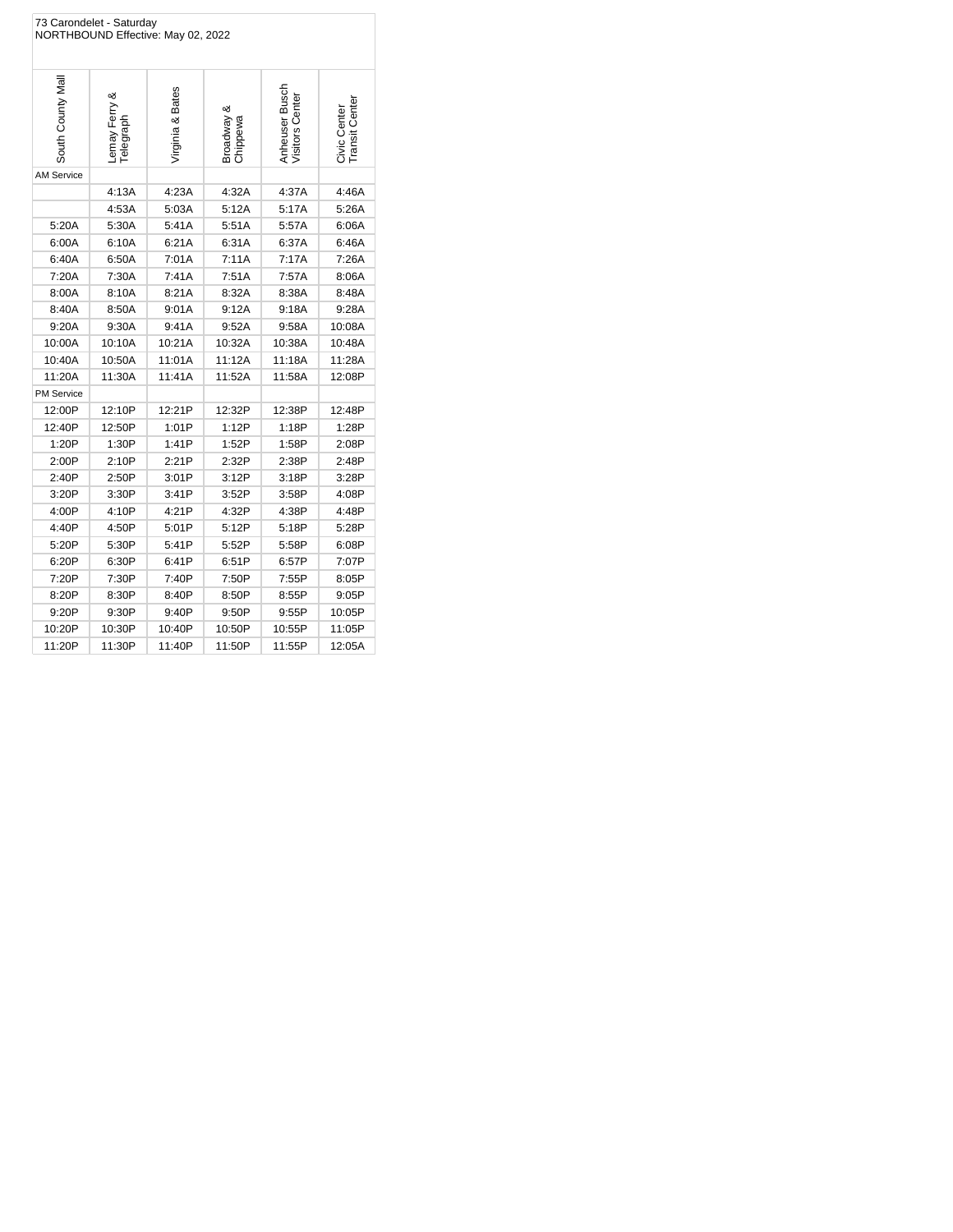| 73 Carondelet - Saturday<br>NORTHBOUND Effective: May 02, 2022 |                            |                  |                           |                                   |                                |  |
|----------------------------------------------------------------|----------------------------|------------------|---------------------------|-----------------------------------|--------------------------------|--|
| South County Mal                                               | Lemay Ferry &<br>Telegraph | Virginia & Bates | య<br>Broadway<br>Chippewa | Anheuser Busch<br>Visitors Center | Civic Center<br>Transit Center |  |
| <b>AM Service</b>                                              |                            |                  |                           |                                   |                                |  |
|                                                                | 4:13A                      | 4:23A            | 4:32A                     | 4:37A                             | 4:46A                          |  |
|                                                                | 4:53A                      | 5:03A            | 5:12A                     | 5:17A                             | 5:26A                          |  |
| 5:20A                                                          | 5:30A                      | 5:41A            | 5:51A                     | 5:57A                             | 6:06A                          |  |
| 6:00A                                                          | 6:10A                      | 6:21A            | 6:31A                     | 6:37A                             | 6:46A                          |  |
| 6:40A                                                          | 6:50A                      | 7:01A            | 7:11A                     | 7:17A                             | 7:26A                          |  |
| 7:20A                                                          | 7:30A                      | 7:41A            | 7:51A                     | 7:57A                             | 8:06A                          |  |
| 8:00A                                                          | 8:10A                      | 8:21A            | 8:32A                     | 8:38A                             | 8:48A                          |  |
| 8:40A                                                          | 8:50A                      | 9:01A            | 9:12A                     | 9:18A                             | 9:28A                          |  |
| 9:20A                                                          | 9:30A                      | 9:41A            | 9:52A                     | 9:58A                             | 10:08A                         |  |
| 10:00A                                                         | 10:10A                     | 10:21A           | 10:32A                    | 10:38A                            | 10:48A                         |  |
| 10:40A                                                         | 10:50A                     | 11:01A           | 11:12A                    | 11:18A                            | 11:28A                         |  |
| 11:20A                                                         | 11:30A                     | 11:41A           | 11:52A                    | 11:58A                            | 12:08P                         |  |
| PM Service                                                     |                            |                  |                           |                                   |                                |  |
| 12:00P                                                         | 12:10P                     | 12:21P           | 12:32P                    | 12:38P                            | 12:48P                         |  |
| 12:40P                                                         | 12:50P                     | 1:01P            | 1:12P                     | 1:18P                             | 1:28P                          |  |
| 1:20P                                                          | 1:30P                      | 1:41P            | 1:52P                     | 1:58P                             | 2:08P                          |  |
| 2:00P                                                          | 2:10P                      | 2:21P            | 2:32P                     | 2:38P                             | 2:48P                          |  |
| 2:40P                                                          | 2:50P                      | 3:01P            | 3:12P                     | 3:18P                             | 3:28P                          |  |
| 3:20P                                                          | 3:30P                      | 3:41P            | 3:52P                     | 3:58P                             | 4:08P                          |  |
| 4:00P                                                          | 4:10P                      | 4:21P            | 4:32P                     | 4:38P                             | 4:48P                          |  |
| 4:40P                                                          | 4:50P                      | 5:01P            | 5:12P                     | 5:18P                             | 5:28P                          |  |
| 5:20P                                                          | 5:30P                      | 5:41P            | 5:52P                     | 5:58P                             | 6:08P                          |  |
| 6:20P                                                          | 6:30P                      | 6:41P            | 6:51P                     | 6:57P                             | 7:07P                          |  |
| 7:20P                                                          | 7:30P                      | 7:40P            | 7:50P                     | 7:55P                             | 8:05P                          |  |
| 8:20P                                                          | 8:30P                      | 8:40P            | 8:50P                     | 8:55P                             | 9:05P                          |  |
| 9:20P                                                          | 9:30P                      | 9:40P            | 9:50P                     | 9:55P                             | 10:05P                         |  |
| 10:20P                                                         | 10:30P                     | 10:40P           | 10:50P                    | 10:55P                            | 11:05P                         |  |
| 11:20P                                                         | 11:30P                     | 11:40P           | 11:50P                    | 11:55P                            | 12:05A                         |  |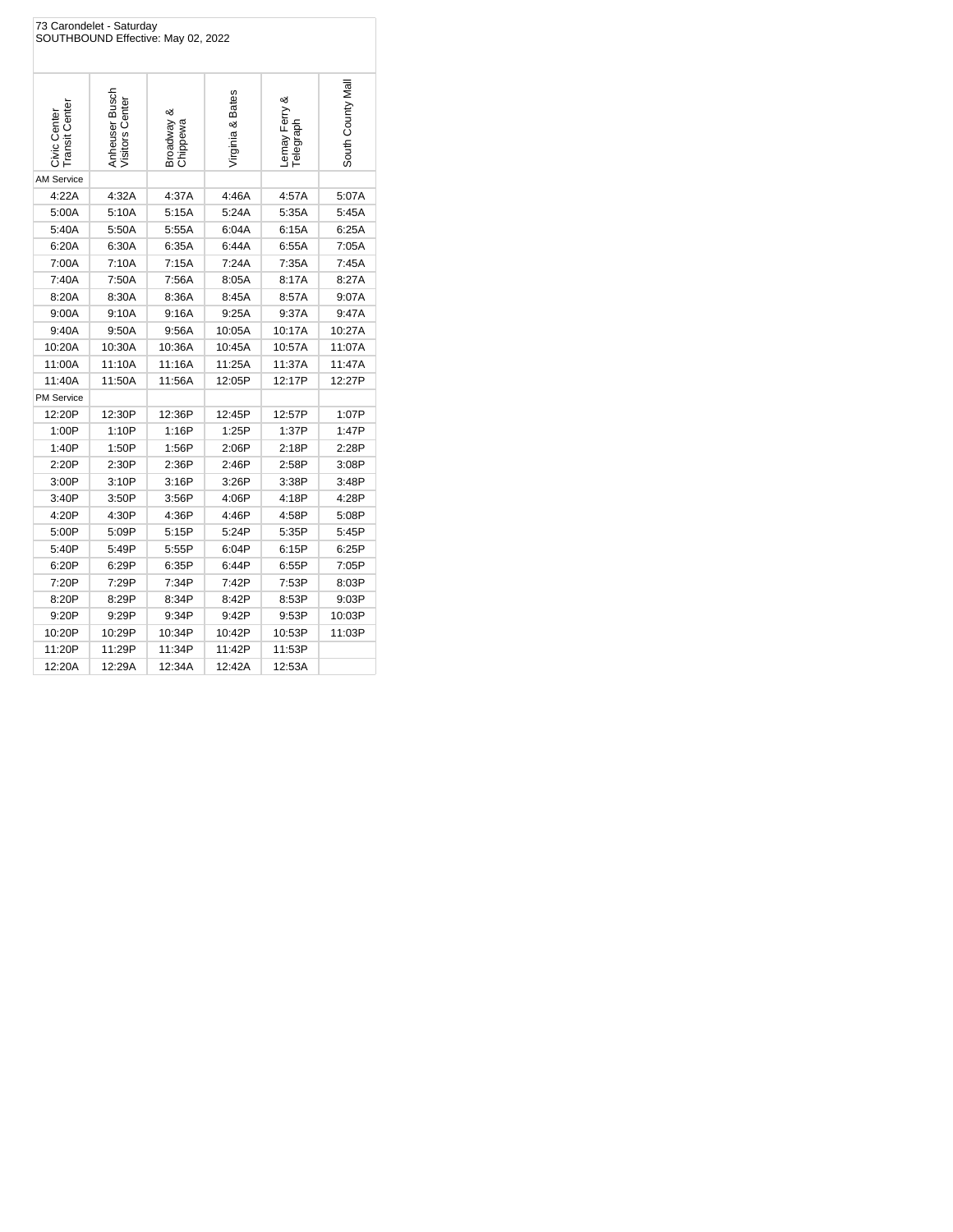| 73 Carondelet - Saturday<br>SOUTHBOUND Effective: May 02, 2022 |                                   |                        |                  |                                 |                  |  |
|----------------------------------------------------------------|-----------------------------------|------------------------|------------------|---------------------------------|------------------|--|
| Civic Center<br>Transit Center                                 | Anheuser Busch<br>Visitors Center | Broadway &<br>Chippewa | Virginia & Bates | ∞<br>Lemay Ferry &<br>Telegraph | South County Mal |  |
| <b>AM Service</b>                                              |                                   |                        |                  |                                 |                  |  |
| 4:22A                                                          | 4:32A                             | 4:37A                  | 4:46A            | 4:57A                           | 5:07A            |  |
| 5:00A                                                          | 5:10A                             | 5:15A                  | 5:24A            | 5:35A                           | 5:45A            |  |
| 5:40A                                                          | 5:50A                             | 5:55A                  | 6:04A            | 6:15A                           | 6:25A            |  |
| 6:20A                                                          | 6:30A                             | 6:35A                  | 6:44A            | 6:55A                           | 7:05A            |  |
| 7:00A                                                          | 7:10A                             | 7:15A                  | 7:24A            | 7:35A                           | 7:45A            |  |
| 7:40A                                                          | 7:50A                             | 7:56A                  | 8:05A            | 8:17A                           | 8:27A            |  |
| 8:20A                                                          | 8:30A                             | 8:36A                  | 8:45A            | 8:57A                           | 9:07A            |  |
| 9:00A                                                          | 9:10A                             | 9:16A                  | 9:25A            | 9:37A                           | 9:47A            |  |
| 9:40A                                                          | 9:50A                             | 9:56A                  | 10:05A           | 10:17A                          | 10:27A           |  |
| 10:20A                                                         | 10:30A                            | 10:36A                 | 10:45A           | 10:57A                          | 11:07A           |  |
| 11:00A                                                         | 11:10A                            | 11:16A                 | 11:25A           | 11:37A                          | 11:47A           |  |
| 11:40A                                                         | 11:50A                            | 11:56A                 | 12:05P           | 12:17P                          | 12:27P           |  |
| <b>PM Service</b>                                              |                                   |                        |                  |                                 |                  |  |
| 12:20P                                                         | 12:30P                            | 12:36P                 | 12:45P           | 12:57P                          | 1:07P            |  |
| 1:00P                                                          | 1:10P                             | 1:16P                  | 1:25P            | 1:37P                           | 1:47P            |  |
| 1:40P                                                          | 1:50P                             | 1:56P                  | 2:06P            | 2:18P                           | 2:28P            |  |
| 2:20P                                                          | 2:30P                             | 2:36P                  | 2:46P            | 2:58P                           | 3:08P            |  |
| 3:00P                                                          | 3:10P                             | 3:16P                  | 3:26P            | 3:38P                           | 3:48P            |  |
| 3:40P                                                          | 3:50P                             | 3:56P                  | 4:06P            | 4:18P                           | 4:28P            |  |
| 4:20P                                                          | 4:30P                             | 4:36P                  | 4:46P            | 4:58P                           | 5:08P            |  |
| 5:00P                                                          | 5:09P                             | 5:15P                  | 5:24P            | 5:35P                           | 5:45P            |  |
| 5:40P                                                          | 5:49P                             | 5:55P                  | 6:04P            | 6:15P                           | 6:25P            |  |
| 6:20P                                                          | 6:29P                             | 6:35P                  | 6:44P            | 6:55P                           | 7:05P            |  |
| 7:20P                                                          | 7:29P                             | 7:34P                  | 7:42P            | 7:53P                           | 8:03P            |  |
| 8:20P                                                          | 8:29P                             | 8:34P                  | 8:42P            | 8:53P                           | 9:03P            |  |
| 9:20P                                                          | 9:29P                             | 9:34P                  | 9:42P            | 9:53P                           | 10:03P           |  |
| 10:20P                                                         | 10:29P                            | 10:34P                 | 10:42P           | 10:53P                          | 11:03P           |  |
| 11:20P                                                         | 11:29P                            | 11:34P                 | 11:42P           | 11:53P                          |                  |  |
| 12:20A                                                         | 12:29A                            | 12:34A                 | 12:42A           | 12:53A                          |                  |  |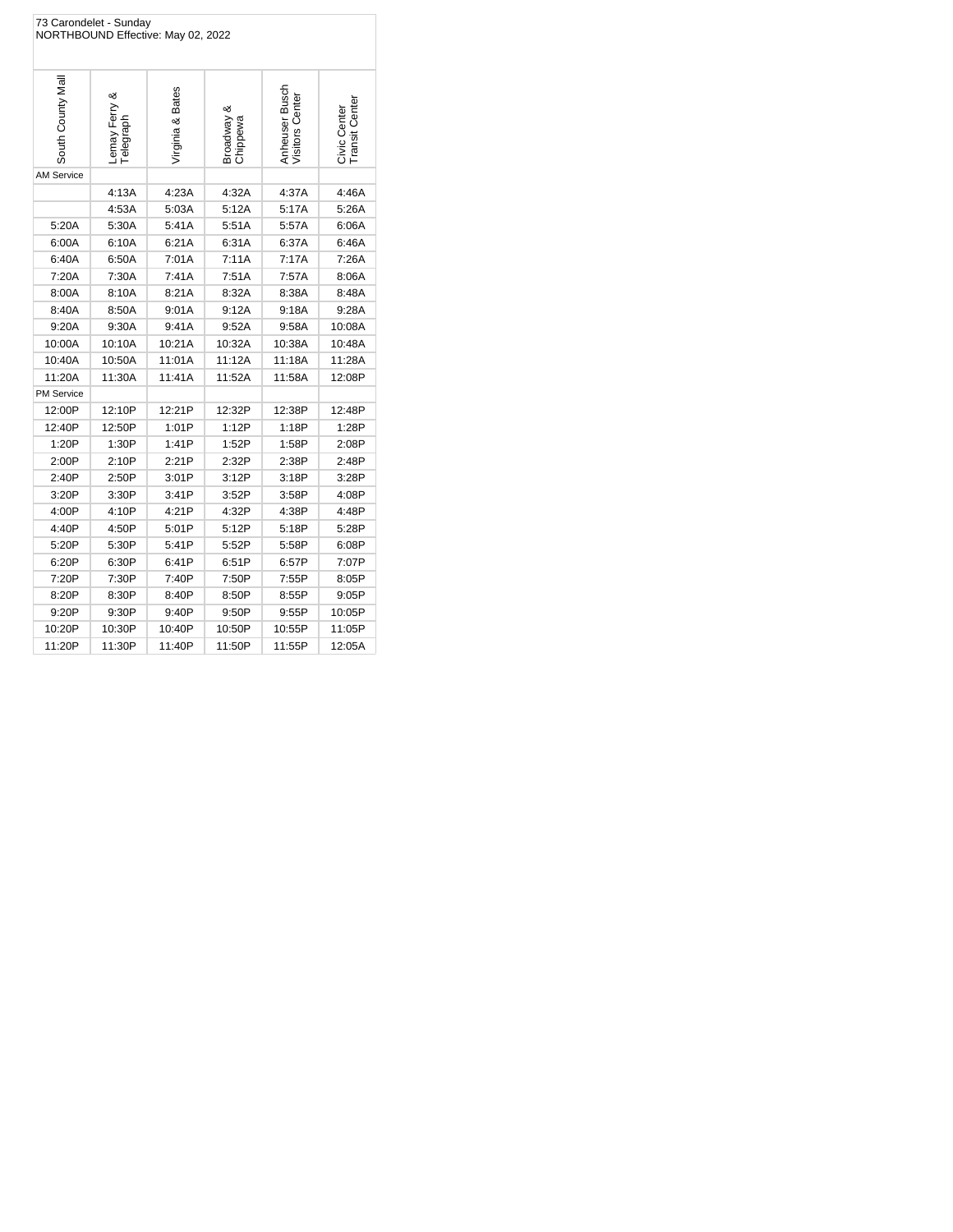|                   | 73 Carondelet - Sunday    | NORTHBOUND Effective: May 02, 2022 |                        |                                   |                               |
|-------------------|---------------------------|------------------------------------|------------------------|-----------------------------------|-------------------------------|
| South County Mal  | Lemay Ferry &<br>degraph- | Virginia & Bates                   | Broadway &<br>Chippewa | Anheuser Busch<br>Visitors Center | Transit Cente<br>Civic Center |
| <b>AM Service</b> |                           |                                    |                        |                                   |                               |
|                   | 4:13A                     | 4:23A                              | 4:32A                  | 4:37A                             | 4:46A                         |
|                   | 4:53A                     | 5:03A                              | 5:12A                  | 5:17A                             | 5:26A                         |
| 5:20A             | 5:30A                     | 5:41A                              | 5:51A                  | 5:57A                             | 6:06A                         |
| 6:00A             | 6:10A                     | 6:21A                              | 6:31A                  | 6:37A                             | 6:46A                         |
| 6:40A             | 6:50A                     | 7:01A                              | 7:11A                  | 7:17A                             | 7:26A                         |
| 7:20A             | 7:30A                     | 7:41A                              | 7:51A                  | 7:57A                             | 8:06A                         |
| 8:00A             | 8:10A                     | 8:21A                              | 8:32A                  | 8:38A                             | 8:48A                         |
| 8:40A             | 8:50A                     | 9:01A                              | 9:12A                  | 9:18A                             | 9:28A                         |
| 9:20A             | 9:30A                     | 9:41A                              | 9:52A                  | 9:58A                             | 10:08A                        |
| 10:00A            | 10:10A                    | 10:21A                             | 10:32A                 | 10:38A                            | 10:48A                        |
| 10:40A            | 10:50A                    | 11:01A                             | 11:12A                 | 11:18A                            | 11:28A                        |
| 11:20A            | 11:30A                    | 11:41A                             | 11:52A                 | 11:58A                            | 12:08P                        |
| <b>PM Service</b> |                           |                                    |                        |                                   |                               |
| 12:00P            | 12:10P                    | 12:21P                             | 12:32P                 | 12:38P                            | 12:48P                        |
| 12:40P            | 12:50P                    | 1:01P                              | 1:12P                  | 1:18P                             | 1:28P                         |
| 1:20P             | 1:30P                     | 1:41P                              | 1:52P                  | 1:58P                             | 2:08P                         |
| 2:00P             | 2:10P                     | 2:21P                              | 2:32P                  | 2:38P                             | 2:48P                         |
| 2:40P             | 2:50P                     | 3:01P                              | 3:12P                  | 3:18P                             | 3:28P                         |
| 3:20P             | 3:30P                     | 3:41P                              | 3:52P                  | 3:58P                             | 4:08P                         |
| 4:00P             | 4:10P                     | 4:21P                              | 4:32P                  | 4:38P                             | 4:48P                         |
| 4:40P             | 4:50P                     | 5:01P                              | 5:12P                  | 5:18P                             | 5:28P                         |
| 5:20P             | 5:30P                     | 5:41P                              | 5:52P                  | 5:58P                             | 6:08P                         |
| 6:20P             | 6:30P                     | 6:41P                              | 6:51P                  | 6:57P                             | 7:07P                         |
| 7:20P             | 7:30P                     | 7:40P                              | 7:50P                  | 7:55P                             | 8:05P                         |
| 8:20P             | 8:30P                     | 8:40P                              | 8:50P                  | 8:55P                             | 9:05P                         |
| 9:20P             | 9:30P                     | 9:40P                              | 9:50P                  | 9:55P                             | 10:05P                        |
| 10:20P            | 10:30P                    | 10:40P                             | 10:50P                 | 10:55P                            | 11:05P                        |
| 11:20P            | 11:30P                    | 11:40P                             | 11:50P                 | 11:55P                            | 12:05A                        |